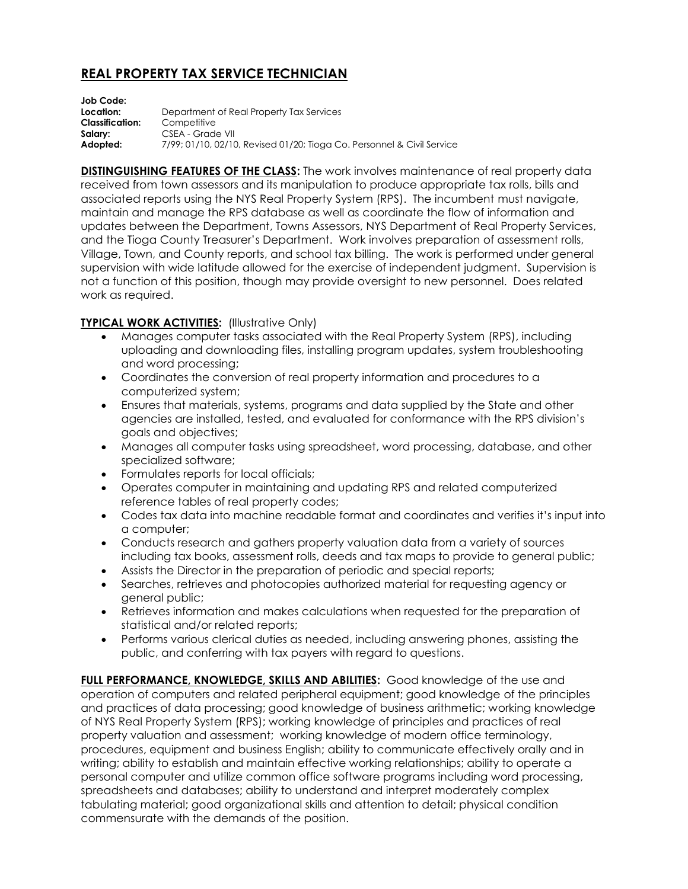## **REAL PROPERTY TAX SERVICE TECHNICIAN**

**Job Code: Location:** Department of Real Property Tax Services **Classification:** Competitive **Salary:** CSEA - Grade VII **Adopted:** 7/99; 01/10, 02/10, Revised 01/20; Tioga Co. Personnel & Civil Service

**DISTINGUISHING FEATURES OF THE CLASS:** The work involves maintenance of real property data received from town assessors and its manipulation to produce appropriate tax rolls, bills and associated reports using the NYS Real Property System (RPS). The incumbent must navigate, maintain and manage the RPS database as well as coordinate the flow of information and updates between the Department, Towns Assessors, NYS Department of Real Property Services, and the Tioga County Treasurer's Department. Work involves preparation of assessment rolls, Village, Town, and County reports, and school tax billing. The work is performed under general supervision with wide latitude allowed for the exercise of independent judgment. Supervision is not a function of this position, though may provide oversight to new personnel. Does related work as required.

## **TYPICAL WORK ACTIVITIES: (Illustrative Only)**

- Manages computer tasks associated with the Real Property System (RPS), including uploading and downloading files, installing program updates, system troubleshooting and word processing;
- Coordinates the conversion of real property information and procedures to a computerized system;
- Ensures that materials, systems, programs and data supplied by the State and other agencies are installed, tested, and evaluated for conformance with the RPS division's goals and objectives;
- Manages all computer tasks using spreadsheet, word processing, database, and other specialized software;
- Formulates reports for local officials;
- Operates computer in maintaining and updating RPS and related computerized reference tables of real property codes;
- Codes tax data into machine readable format and coordinates and verifies it's input into a computer;
- Conducts research and gathers property valuation data from a variety of sources including tax books, assessment rolls, deeds and tax maps to provide to general public;
- Assists the Director in the preparation of periodic and special reports;
- Searches, retrieves and photocopies authorized material for requesting agency or general public;
- Retrieves information and makes calculations when requested for the preparation of statistical and/or related reports;
- Performs various clerical duties as needed, including answering phones, assisting the public, and conferring with tax payers with regard to questions.

**FULL PERFORMANCE, KNOWLEDGE, SKILLS AND ABILITIES:** Good knowledge of the use and operation of computers and related peripheral equipment; good knowledge of the principles and practices of data processing; good knowledge of business arithmetic; working knowledge of NYS Real Property System (RPS); working knowledge of principles and practices of real property valuation and assessment; working knowledge of modern office terminology, procedures, equipment and business English; ability to communicate effectively orally and in writing; ability to establish and maintain effective working relationships; ability to operate a personal computer and utilize common office software programs including word processing, spreadsheets and databases; ability to understand and interpret moderately complex tabulating material; good organizational skills and attention to detail; physical condition commensurate with the demands of the position.